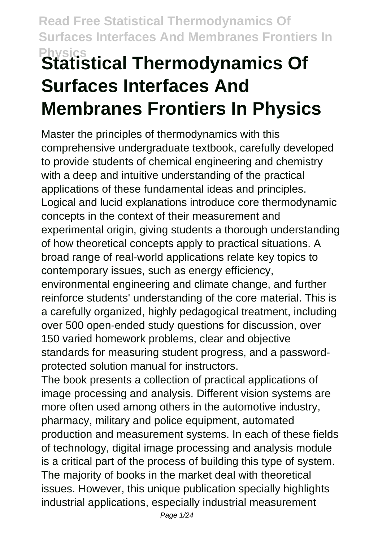# **Physics Statistical Thermodynamics Of Surfaces Interfaces And Membranes Frontiers In Physics**

Master the principles of thermodynamics with this comprehensive undergraduate textbook, carefully developed to provide students of chemical engineering and chemistry with a deep and intuitive understanding of the practical applications of these fundamental ideas and principles. Logical and lucid explanations introduce core thermodynamic concepts in the context of their measurement and experimental origin, giving students a thorough understanding of how theoretical concepts apply to practical situations. A broad range of real-world applications relate key topics to contemporary issues, such as energy efficiency, environmental engineering and climate change, and further reinforce students' understanding of the core material. This is a carefully organized, highly pedagogical treatment, including over 500 open-ended study questions for discussion, over 150 varied homework problems, clear and objective standards for measuring student progress, and a passwordprotected solution manual for instructors.

The book presents a collection of practical applications of image processing and analysis. Different vision systems are more often used among others in the automotive industry, pharmacy, military and police equipment, automated production and measurement systems. In each of these fields of technology, digital image processing and analysis module is a critical part of the process of building this type of system. The majority of books in the market deal with theoretical issues. However, this unique publication specially highlights industrial applications, especially industrial measurement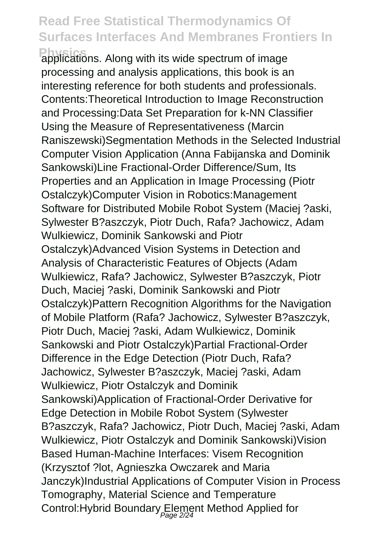**Physics** applications. Along with its wide spectrum of image processing and analysis applications, this book is an interesting reference for both students and professionals. Contents:Theoretical Introduction to Image Reconstruction and Processing:Data Set Preparation for k-NN Classifier Using the Measure of Representativeness (Marcin Raniszewski)Segmentation Methods in the Selected Industrial Computer Vision Application (Anna Fabijanska and Dominik Sankowski)Line Fractional-Order Difference/Sum, Its Properties and an Application in Image Processing (Piotr Ostalczyk)Computer Vision in Robotics:Management Software for Distributed Mobile Robot System (Maciej ?aski, Sylwester B?aszczyk, Piotr Duch, Rafa? Jachowicz, Adam Wulkiewicz, Dominik Sankowski and Piotr Ostalczyk)Advanced Vision Systems in Detection and Analysis of Characteristic Features of Objects (Adam Wulkiewicz, Rafa? Jachowicz, Sylwester B?aszczyk, Piotr Duch, Maciej ?aski, Dominik Sankowski and Piotr Ostalczyk)Pattern Recognition Algorithms for the Navigation of Mobile Platform (Rafa? Jachowicz, Sylwester B?aszczyk, Piotr Duch, Maciej ?aski, Adam Wulkiewicz, Dominik Sankowski and Piotr Ostalczyk)Partial Fractional-Order Difference in the Edge Detection (Piotr Duch, Rafa? Jachowicz, Sylwester B?aszczyk, Maciej ?aski, Adam Wulkiewicz, Piotr Ostalczyk and Dominik Sankowski)Application of Fractional-Order Derivative for Edge Detection in Mobile Robot System (Sylwester B?aszczyk, Rafa? Jachowicz, Piotr Duch, Maciej ?aski, Adam Wulkiewicz, Piotr Ostalczyk and Dominik Sankowski)Vision Based Human-Machine Interfaces: Visem Recognition (Krzysztof ?lot, Agnieszka Owczarek and Maria Janczyk)Industrial Applications of Computer Vision in Process Tomography, Material Science and Temperature Control:Hybrid Boundary Element Method Applied for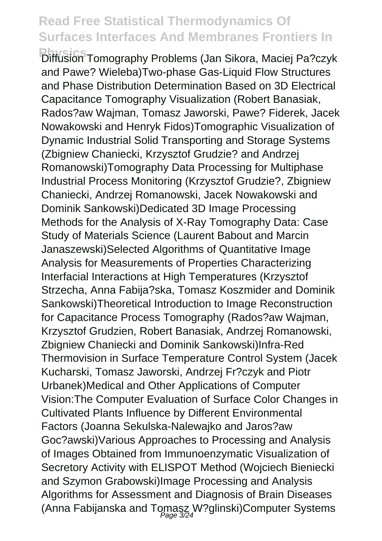**Physics** Diffusion Tomography Problems (Jan Sikora, Maciej Pa?czyk and Pawe? Wieleba)Two-phase Gas-Liquid Flow Structures and Phase Distribution Determination Based on 3D Electrical Capacitance Tomography Visualization (Robert Banasiak, Rados?aw Wajman, Tomasz Jaworski, Pawe? Fiderek, Jacek Nowakowski and Henryk Fidos)Tomographic Visualization of Dynamic Industrial Solid Transporting and Storage Systems (Zbigniew Chaniecki, Krzysztof Grudzie? and Andrzej Romanowski)Tomography Data Processing for Multiphase Industrial Process Monitoring (Krzysztof Grudzie?, Zbigniew Chaniecki, Andrzej Romanowski, Jacek Nowakowski and Dominik Sankowski)Dedicated 3D Image Processing Methods for the Analysis of X-Ray Tomography Data: Case Study of Materials Science (Laurent Babout and Marcin Janaszewski)Selected Algorithms of Quantitative Image Analysis for Measurements of Properties Characterizing Interfacial Interactions at High Temperatures (Krzysztof Strzecha, Anna Fabija?ska, Tomasz Koszmider and Dominik Sankowski)Theoretical Introduction to Image Reconstruction for Capacitance Process Tomography (Rados?aw Wajman, Krzysztof Grudzien, Robert Banasiak, Andrzej Romanowski, Zbigniew Chaniecki and Dominik Sankowski)Infra-Red Thermovision in Surface Temperature Control System (Jacek Kucharski, Tomasz Jaworski, Andrzej Fr?czyk and Piotr Urbanek)Medical and Other Applications of Computer Vision:The Computer Evaluation of Surface Color Changes in Cultivated Plants Influence by Different Environmental Factors (Joanna Sekulska-Nalewajko and Jaros?aw Goc?awski)Various Approaches to Processing and Analysis of Images Obtained from Immunoenzymatic Visualization of Secretory Activity with ELISPOT Method (Wojciech Bieniecki and Szymon Grabowski)Image Processing and Analysis Algorithms for Assessment and Diagnosis of Brain Diseases (Anna Fabijanska and Tomasz W?glinski)Computer Systems Page 3/24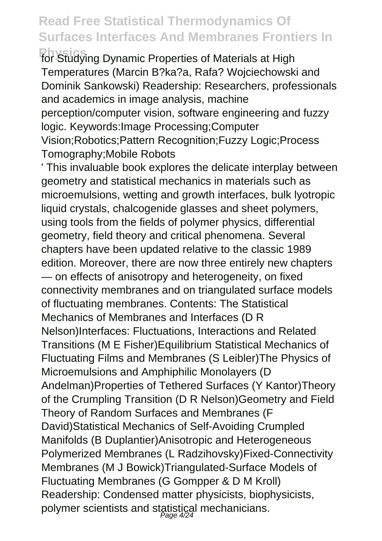**Physics** for Studying Dynamic Properties of Materials at High Temperatures (Marcin B?ka?a, Rafa? Wojciechowski and Dominik Sankowski) Readership: Researchers, professionals and academics in image analysis, machine perception/computer vision, software engineering and fuzzy logic. Keywords:Image Processing;Computer Vision;Robotics;Pattern Recognition;Fuzzy Logic;Process Tomography;Mobile Robots

' This invaluable book explores the delicate interplay between geometry and statistical mechanics in materials such as microemulsions, wetting and growth interfaces, bulk lyotropic liquid crystals, chalcogenide glasses and sheet polymers, using tools from the fields of polymer physics, differential geometry, field theory and critical phenomena. Several chapters have been updated relative to the classic 1989 edition. Moreover, there are now three entirely new chapters — on effects of anisotropy and heterogeneity, on fixed connectivity membranes and on triangulated surface models of fluctuating membranes. Contents: The Statistical Mechanics of Membranes and Interfaces (D R Nelson)Interfaces: Fluctuations, Interactions and Related Transitions (M E Fisher)Equilibrium Statistical Mechanics of Fluctuating Films and Membranes (S Leibler)The Physics of Microemulsions and Amphiphilic Monolayers (D Andelman)Properties of Tethered Surfaces (Y Kantor)Theory of the Crumpling Transition (D R Nelson)Geometry and Field Theory of Random Surfaces and Membranes (F David)Statistical Mechanics of Self-Avoiding Crumpled Manifolds (B Duplantier)Anisotropic and Heterogeneous Polymerized Membranes (L Radzihovsky)Fixed-Connectivity Membranes (M J Bowick)Triangulated-Surface Models of Fluctuating Membranes (G Gompper & D M Kroll) Readership: Condensed matter physicists, biophysicists, polymer scientists and statistical mechanicians.<br>
<sub>Page 4/24</sub>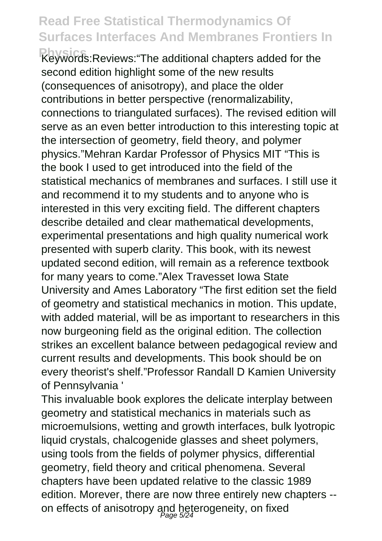**Physics** Keywords:Reviews:"The additional chapters added for the second edition highlight some of the new results (consequences of anisotropy), and place the older contributions in better perspective (renormalizability, connections to triangulated surfaces). The revised edition will serve as an even better introduction to this interesting topic at the intersection of geometry, field theory, and polymer physics."Mehran Kardar Professor of Physics MIT "This is the book I used to get introduced into the field of the statistical mechanics of membranes and surfaces. I still use it and recommend it to my students and to anyone who is interested in this very exciting field. The different chapters describe detailed and clear mathematical developments, experimental presentations and high quality numerical work presented with superb clarity. This book, with its newest updated second edition, will remain as a reference textbook for many years to come."Alex Travesset Iowa State University and Ames Laboratory "The first edition set the field of geometry and statistical mechanics in motion. This update, with added material, will be as important to researchers in this now burgeoning field as the original edition. The collection strikes an excellent balance between pedagogical review and current results and developments. This book should be on every theorist's shelf."Professor Randall D Kamien University of Pennsylvania '

This invaluable book explores the delicate interplay between geometry and statistical mechanics in materials such as microemulsions, wetting and growth interfaces, bulk lyotropic liquid crystals, chalcogenide glasses and sheet polymers, using tools from the fields of polymer physics, differential geometry, field theory and critical phenomena. Several chapters have been updated relative to the classic 1989 edition. Morever, there are now three entirely new chapters - on effects of anisotropy and heterogeneity, on fixed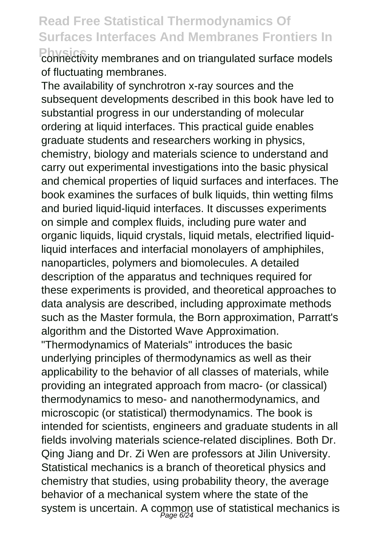**Physics** connectivity membranes and on triangulated surface models of fluctuating membranes.

The availability of synchrotron x-ray sources and the subsequent developments described in this book have led to substantial progress in our understanding of molecular ordering at liquid interfaces. This practical guide enables graduate students and researchers working in physics, chemistry, biology and materials science to understand and carry out experimental investigations into the basic physical and chemical properties of liquid surfaces and interfaces. The book examines the surfaces of bulk liquids, thin wetting films and buried liquid-liquid interfaces. It discusses experiments on simple and complex fluids, including pure water and organic liquids, liquid crystals, liquid metals, electrified liquidliquid interfaces and interfacial monolayers of amphiphiles, nanoparticles, polymers and biomolecules. A detailed description of the apparatus and techniques required for these experiments is provided, and theoretical approaches to data analysis are described, including approximate methods such as the Master formula, the Born approximation, Parratt's algorithm and the Distorted Wave Approximation. "Thermodynamics of Materials" introduces the basic underlying principles of thermodynamics as well as their applicability to the behavior of all classes of materials, while providing an integrated approach from macro- (or classical) thermodynamics to meso- and nanothermodynamics, and microscopic (or statistical) thermodynamics. The book is intended for scientists, engineers and graduate students in all fields involving materials science-related disciplines. Both Dr. Qing Jiang and Dr. Zi Wen are professors at Jilin University. Statistical mechanics is a branch of theoretical physics and chemistry that studies, using probability theory, the average

behavior of a mechanical system where the state of the system is uncertain. A common use of statistical mechanics is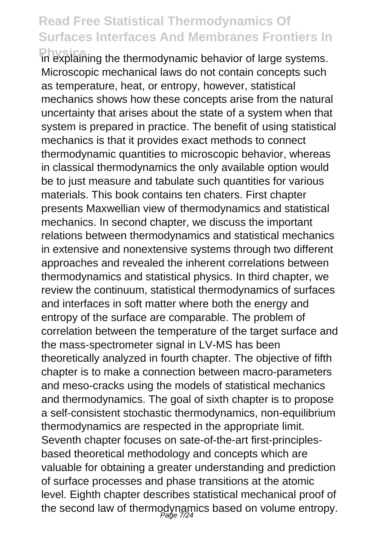**Physics** in explaining the thermodynamic behavior of large systems. Microscopic mechanical laws do not contain concepts such as temperature, heat, or entropy, however, statistical mechanics shows how these concepts arise from the natural uncertainty that arises about the state of a system when that system is prepared in practice. The benefit of using statistical mechanics is that it provides exact methods to connect thermodynamic quantities to microscopic behavior, whereas in classical thermodynamics the only available option would be to just measure and tabulate such quantities for various materials. This book contains ten chaters. First chapter presents Maxwellian view of thermodynamics and statistical mechanics. In second chapter, we discuss the important relations between thermodynamics and statistical mechanics in extensive and nonextensive systems through two different approaches and revealed the inherent correlations between thermodynamics and statistical physics. In third chapter, we review the continuum, statistical thermodynamics of surfaces and interfaces in soft matter where both the energy and entropy of the surface are comparable. The problem of correlation between the temperature of the target surface and the mass-spectrometer signal in LV-MS has been theoretically analyzed in fourth chapter. The objective of fifth chapter is to make a connection between macro-parameters and meso-cracks using the models of statistical mechanics and thermodynamics. The goal of sixth chapter is to propose a self-consistent stochastic thermodynamics, non-equilibrium thermodynamics are respected in the appropriate limit. Seventh chapter focuses on sate-of-the-art first-principlesbased theoretical methodology and concepts which are valuable for obtaining a greater understanding and prediction of surface processes and phase transitions at the atomic level. Eighth chapter describes statistical mechanical proof of the second law of thermodynamics based on volume entropy.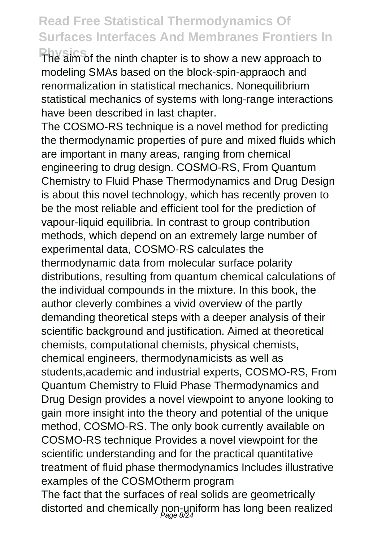**Physics** The aim of the ninth chapter is to show a new approach to modeling SMAs based on the block-spin-appraoch and renormalization in statistical mechanics. Nonequilibrium statistical mechanics of systems with long-range interactions have been described in last chapter.

The COSMO-RS technique is a novel method for predicting the thermodynamic properties of pure and mixed fluids which are important in many areas, ranging from chemical engineering to drug design. COSMO-RS, From Quantum Chemistry to Fluid Phase Thermodynamics and Drug Design is about this novel technology, which has recently proven to be the most reliable and efficient tool for the prediction of vapour-liquid equilibria. In contrast to group contribution methods, which depend on an extremely large number of experimental data, COSMO-RS calculates the thermodynamic data from molecular surface polarity distributions, resulting from quantum chemical calculations of the individual compounds in the mixture. In this book, the author cleverly combines a vivid overview of the partly demanding theoretical steps with a deeper analysis of their scientific background and justification. Aimed at theoretical chemists, computational chemists, physical chemists, chemical engineers, thermodynamicists as well as students,academic and industrial experts, COSMO-RS, From Quantum Chemistry to Fluid Phase Thermodynamics and Drug Design provides a novel viewpoint to anyone looking to gain more insight into the theory and potential of the unique method, COSMO-RS. The only book currently available on COSMO-RS technique Provides a novel viewpoint for the scientific understanding and for the practical quantitative treatment of fluid phase thermodynamics Includes illustrative examples of the COSMOtherm program The fact that the surfaces of real solids are geometrically

distorted and chemically non-uniform has long been realized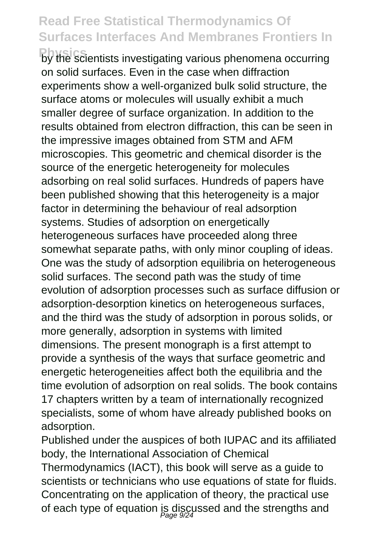**Physics** by the scientists investigating various phenomena occurring on solid surfaces. Even in the case when diffraction experiments show a well-organized bulk solid structure, the surface atoms or molecules will usually exhibit a much smaller degree of surface organization. In addition to the results obtained from electron diffraction, this can be seen in the impressive images obtained from STM and AFM microscopies. This geometric and chemical disorder is the source of the energetic heterogeneity for molecules adsorbing on real solid surfaces. Hundreds of papers have been published showing that this heterogeneity is a major factor in determining the behaviour of real adsorption systems. Studies of adsorption on energetically heterogeneous surfaces have proceeded along three somewhat separate paths, with only minor coupling of ideas. One was the study of adsorption equilibria on heterogeneous solid surfaces. The second path was the study of time evolution of adsorption processes such as surface diffusion or adsorption-desorption kinetics on heterogeneous surfaces, and the third was the study of adsorption in porous solids, or more generally, adsorption in systems with limited dimensions. The present monograph is a first attempt to provide a synthesis of the ways that surface geometric and energetic heterogeneities affect both the equilibria and the time evolution of adsorption on real solids. The book contains 17 chapters written by a team of internationally recognized specialists, some of whom have already published books on adsorption.

Published under the auspices of both IUPAC and its affiliated body, the International Association of Chemical Thermodynamics (IACT), this book will serve as a guide to scientists or technicians who use equations of state for fluids. Concentrating on the application of theory, the practical use of each type of equation is discussed and the strengths and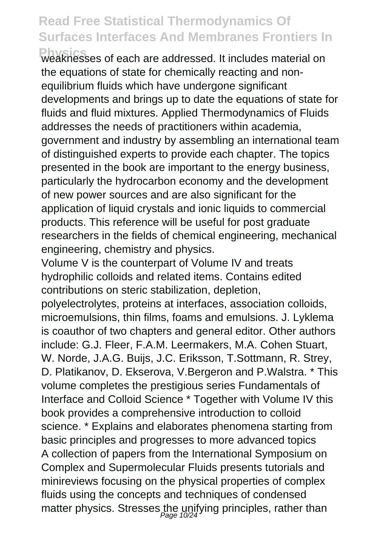**Physics** weaknesses of each are addressed. It includes material on the equations of state for chemically reacting and nonequilibrium fluids which have undergone significant developments and brings up to date the equations of state for fluids and fluid mixtures. Applied Thermodynamics of Fluids addresses the needs of practitioners within academia, government and industry by assembling an international team of distinguished experts to provide each chapter. The topics presented in the book are important to the energy business, particularly the hydrocarbon economy and the development of new power sources and are also significant for the application of liquid crystals and ionic liquids to commercial products. This reference will be useful for post graduate researchers in the fields of chemical engineering, mechanical engineering, chemistry and physics.

Volume V is the counterpart of Volume IV and treats hydrophilic colloids and related items. Contains edited contributions on steric stabilization, depletion,

polyelectrolytes, proteins at interfaces, association colloids, microemulsions, thin films, foams and emulsions. J. Lyklema is coauthor of two chapters and general editor. Other authors include: G.J. Fleer, F.A.M. Leermakers, M.A. Cohen Stuart, W. Norde, J.A.G. Buijs, J.C. Eriksson, T.Sottmann, R. Strey, D. Platikanov, D. Ekserova, V.Bergeron and P.Walstra. \* This volume completes the prestigious series Fundamentals of Interface and Colloid Science \* Together with Volume IV this book provides a comprehensive introduction to colloid science. \* Explains and elaborates phenomena starting from basic principles and progresses to more advanced topics A collection of papers from the International Symposium on Complex and Supermolecular Fluids presents tutorials and minireviews focusing on the physical properties of complex fluids using the concepts and techniques of condensed matter physics. Stresses the unifying principles, rather than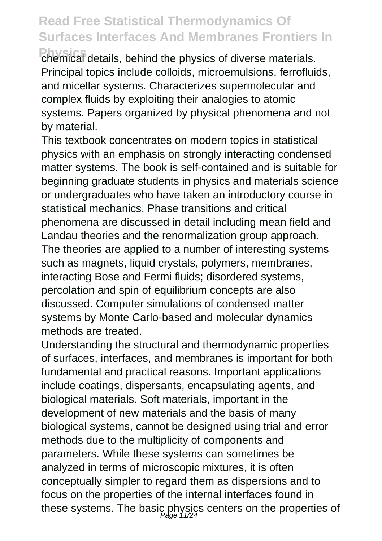**Physics** chemical details, behind the physics of diverse materials. Principal topics include colloids, microemulsions, ferrofluids, and micellar systems. Characterizes supermolecular and complex fluids by exploiting their analogies to atomic systems. Papers organized by physical phenomena and not by material.

This textbook concentrates on modern topics in statistical physics with an emphasis on strongly interacting condensed matter systems. The book is self-contained and is suitable for beginning graduate students in physics and materials science or undergraduates who have taken an introductory course in statistical mechanics. Phase transitions and critical phenomena are discussed in detail including mean field and Landau theories and the renormalization group approach. The theories are applied to a number of interesting systems such as magnets, liquid crystals, polymers, membranes, interacting Bose and Fermi fluids; disordered systems, percolation and spin of equilibrium concepts are also discussed. Computer simulations of condensed matter systems by Monte Carlo-based and molecular dynamics methods are treated.

Understanding the structural and thermodynamic properties of surfaces, interfaces, and membranes is important for both fundamental and practical reasons. Important applications include coatings, dispersants, encapsulating agents, and biological materials. Soft materials, important in the development of new materials and the basis of many biological systems, cannot be designed using trial and error methods due to the multiplicity of components and parameters. While these systems can sometimes be analyzed in terms of microscopic mixtures, it is often conceptually simpler to regard them as dispersions and to focus on the properties of the internal interfaces found in these systems. The basic physics centers on the properties of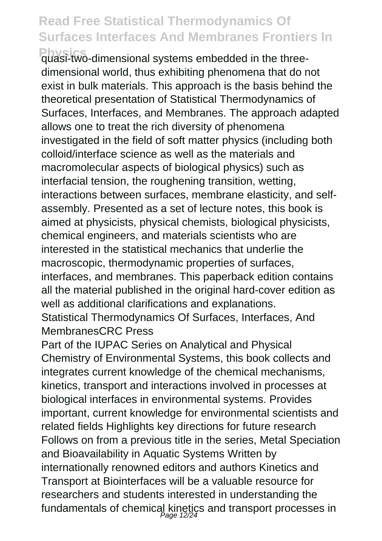**Physics** quasi-two-dimensional systems embedded in the threedimensional world, thus exhibiting phenomena that do not exist in bulk materials. This approach is the basis behind the theoretical presentation of Statistical Thermodynamics of Surfaces, Interfaces, and Membranes. The approach adapted allows one to treat the rich diversity of phenomena investigated in the field of soft matter physics (including both colloid/interface science as well as the materials and macromolecular aspects of biological physics) such as interfacial tension, the roughening transition, wetting, interactions between surfaces, membrane elasticity, and selfassembly. Presented as a set of lecture notes, this book is aimed at physicists, physical chemists, biological physicists, chemical engineers, and materials scientists who are interested in the statistical mechanics that underlie the macroscopic, thermodynamic properties of surfaces, interfaces, and membranes. This paperback edition contains all the material published in the original hard-cover edition as well as additional clarifications and explanations.

Statistical Thermodynamics Of Surfaces, Interfaces, And MembranesCRC Press

Part of the IUPAC Series on Analytical and Physical Chemistry of Environmental Systems, this book collects and integrates current knowledge of the chemical mechanisms, kinetics, transport and interactions involved in processes at biological interfaces in environmental systems. Provides important, current knowledge for environmental scientists and related fields Highlights key directions for future research Follows on from a previous title in the series, Metal Speciation and Bioavailability in Aquatic Systems Written by internationally renowned editors and authors Kinetics and Transport at Biointerfaces will be a valuable resource for researchers and students interested in understanding the fundamentals of chemical kinetics and transport processes in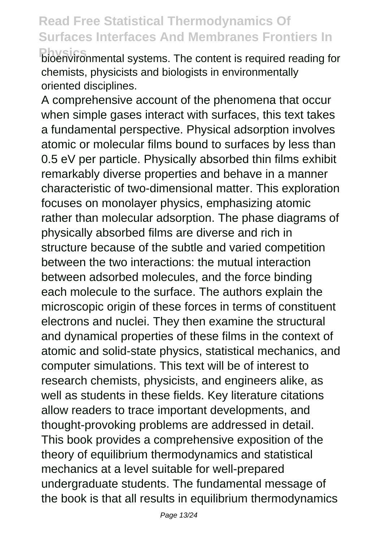**Phiston**ironmental systems. The content is required reading for chemists, physicists and biologists in environmentally oriented disciplines.

A comprehensive account of the phenomena that occur when simple gases interact with surfaces, this text takes a fundamental perspective. Physical adsorption involves atomic or molecular films bound to surfaces by less than 0.5 eV per particle. Physically absorbed thin films exhibit remarkably diverse properties and behave in a manner characteristic of two-dimensional matter. This exploration focuses on monolayer physics, emphasizing atomic rather than molecular adsorption. The phase diagrams of physically absorbed films are diverse and rich in structure because of the subtle and varied competition between the two interactions: the mutual interaction between adsorbed molecules, and the force binding each molecule to the surface. The authors explain the microscopic origin of these forces in terms of constituent electrons and nuclei. They then examine the structural and dynamical properties of these films in the context of atomic and solid-state physics, statistical mechanics, and computer simulations. This text will be of interest to research chemists, physicists, and engineers alike, as well as students in these fields. Key literature citations allow readers to trace important developments, and thought-provoking problems are addressed in detail. This book provides a comprehensive exposition of the theory of equilibrium thermodynamics and statistical mechanics at a level suitable for well-prepared undergraduate students. The fundamental message of the book is that all results in equilibrium thermodynamics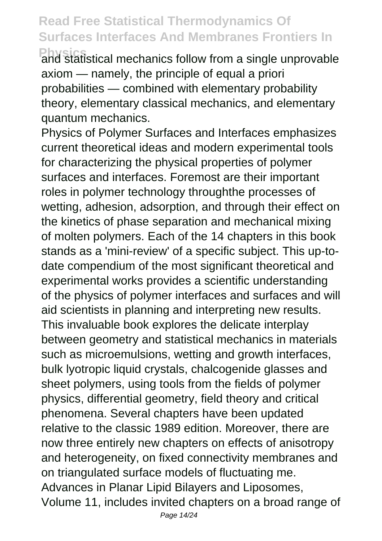**Physics**<br>and statistical mechanics follow from a single unprovable axiom — namely, the principle of equal a priori probabilities — combined with elementary probability theory, elementary classical mechanics, and elementary quantum mechanics.

Physics of Polymer Surfaces and Interfaces emphasizes current theoretical ideas and modern experimental tools for characterizing the physical properties of polymer surfaces and interfaces. Foremost are their important roles in polymer technology throughthe processes of wetting, adhesion, adsorption, and through their effect on the kinetics of phase separation and mechanical mixing of molten polymers. Each of the 14 chapters in this book stands as a 'mini-review' of a specific subject. This up-todate compendium of the most significant theoretical and experimental works provides a scientific understanding of the physics of polymer interfaces and surfaces and will aid scientists in planning and interpreting new results. This invaluable book explores the delicate interplay between geometry and statistical mechanics in materials such as microemulsions, wetting and growth interfaces, bulk lyotropic liquid crystals, chalcogenide glasses and sheet polymers, using tools from the fields of polymer physics, differential geometry, field theory and critical phenomena. Several chapters have been updated relative to the classic 1989 edition. Moreover, there are now three entirely new chapters on effects of anisotropy and heterogeneity, on fixed connectivity membranes and on triangulated surface models of fluctuating me. Advances in Planar Lipid Bilayers and Liposomes, Volume 11, includes invited chapters on a broad range of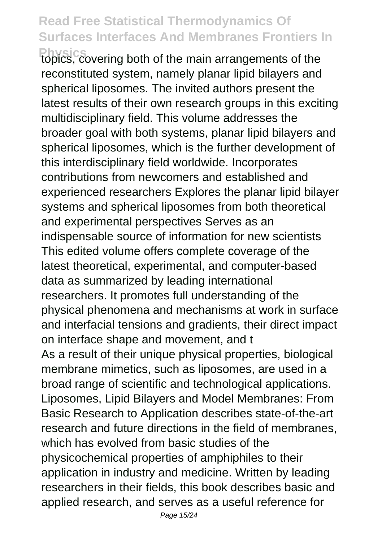**Physics** covering both of the main arrangements of the reconstituted system, namely planar lipid bilayers and spherical liposomes. The invited authors present the latest results of their own research groups in this exciting multidisciplinary field. This volume addresses the broader goal with both systems, planar lipid bilayers and spherical liposomes, which is the further development of this interdisciplinary field worldwide. Incorporates contributions from newcomers and established and experienced researchers Explores the planar lipid bilayer systems and spherical liposomes from both theoretical and experimental perspectives Serves as an indispensable source of information for new scientists This edited volume offers complete coverage of the latest theoretical, experimental, and computer-based data as summarized by leading international researchers. It promotes full understanding of the physical phenomena and mechanisms at work in surface and interfacial tensions and gradients, their direct impact on interface shape and movement, and t As a result of their unique physical properties, biological membrane mimetics, such as liposomes, are used in a broad range of scientific and technological applications. Liposomes, Lipid Bilayers and Model Membranes: From Basic Research to Application describes state-of-the-art research and future directions in the field of membranes, which has evolved from basic studies of the physicochemical properties of amphiphiles to their application in industry and medicine. Written by leading researchers in their fields, this book describes basic and applied research, and serves as a useful reference for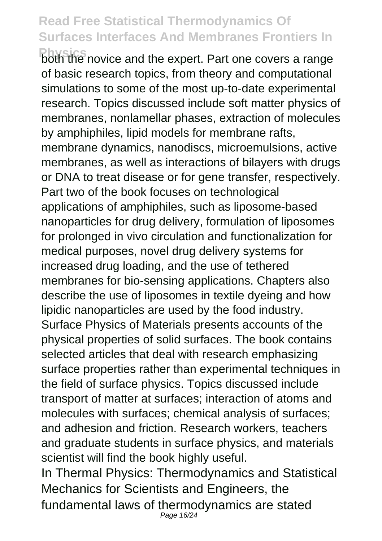**Physics** both the novice and the expert. Part one covers a range of basic research topics, from theory and computational simulations to some of the most up-to-date experimental research. Topics discussed include soft matter physics of membranes, nonlamellar phases, extraction of molecules by amphiphiles, lipid models for membrane rafts, membrane dynamics, nanodiscs, microemulsions, active membranes, as well as interactions of bilayers with drugs or DNA to treat disease or for gene transfer, respectively. Part two of the book focuses on technological applications of amphiphiles, such as liposome-based nanoparticles for drug delivery, formulation of liposomes for prolonged in vivo circulation and functionalization for medical purposes, novel drug delivery systems for increased drug loading, and the use of tethered membranes for bio-sensing applications. Chapters also describe the use of liposomes in textile dyeing and how lipidic nanoparticles are used by the food industry. Surface Physics of Materials presents accounts of the physical properties of solid surfaces. The book contains selected articles that deal with research emphasizing surface properties rather than experimental techniques in the field of surface physics. Topics discussed include transport of matter at surfaces; interaction of atoms and molecules with surfaces; chemical analysis of surfaces; and adhesion and friction. Research workers, teachers and graduate students in surface physics, and materials scientist will find the book highly useful. In Thermal Physics: Thermodynamics and Statistical Mechanics for Scientists and Engineers, the fundamental laws of thermodynamics are stated Page 16/24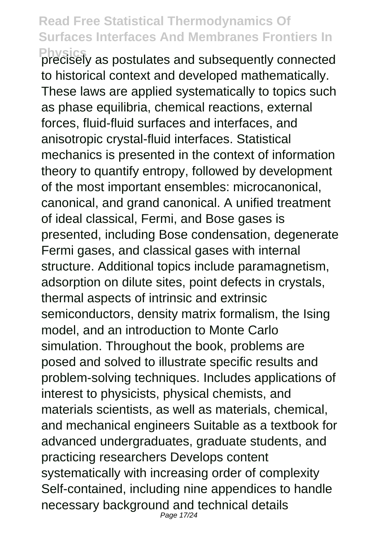**Physics** precisely as postulates and subsequently connected to historical context and developed mathematically. These laws are applied systematically to topics such as phase equilibria, chemical reactions, external forces, fluid-fluid surfaces and interfaces, and anisotropic crystal-fluid interfaces. Statistical mechanics is presented in the context of information theory to quantify entropy, followed by development of the most important ensembles: microcanonical, canonical, and grand canonical. A unified treatment of ideal classical, Fermi, and Bose gases is presented, including Bose condensation, degenerate Fermi gases, and classical gases with internal structure. Additional topics include paramagnetism, adsorption on dilute sites, point defects in crystals, thermal aspects of intrinsic and extrinsic semiconductors, density matrix formalism, the Ising model, and an introduction to Monte Carlo simulation. Throughout the book, problems are posed and solved to illustrate specific results and problem-solving techniques. Includes applications of interest to physicists, physical chemists, and materials scientists, as well as materials, chemical, and mechanical engineers Suitable as a textbook for advanced undergraduates, graduate students, and practicing researchers Develops content systematically with increasing order of complexity Self-contained, including nine appendices to handle necessary background and technical details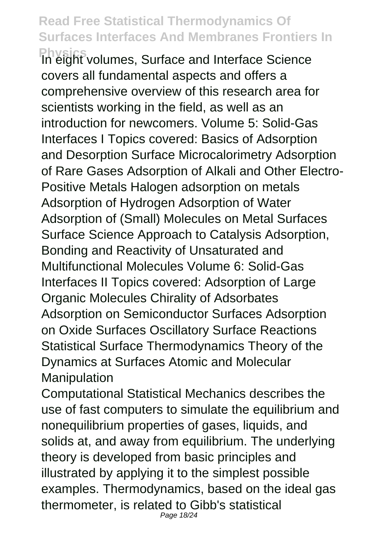**Physics** In eight volumes, Surface and Interface Science covers all fundamental aspects and offers a comprehensive overview of this research area for scientists working in the field, as well as an introduction for newcomers. Volume 5: Solid-Gas Interfaces I Topics covered: Basics of Adsorption and Desorption Surface Microcalorimetry Adsorption of Rare Gases Adsorption of Alkali and Other Electro-Positive Metals Halogen adsorption on metals Adsorption of Hydrogen Adsorption of Water Adsorption of (Small) Molecules on Metal Surfaces Surface Science Approach to Catalysis Adsorption, Bonding and Reactivity of Unsaturated and Multifunctional Molecules Volume 6: Solid-Gas Interfaces II Topics covered: Adsorption of Large Organic Molecules Chirality of Adsorbates Adsorption on Semiconductor Surfaces Adsorption on Oxide Surfaces Oscillatory Surface Reactions Statistical Surface Thermodynamics Theory of the Dynamics at Surfaces Atomic and Molecular Manipulation

Computational Statistical Mechanics describes the use of fast computers to simulate the equilibrium and nonequilibrium properties of gases, liquids, and solids at, and away from equilibrium. The underlying theory is developed from basic principles and illustrated by applying it to the simplest possible examples. Thermodynamics, based on the ideal gas thermometer, is related to Gibb's statistical Page 18/24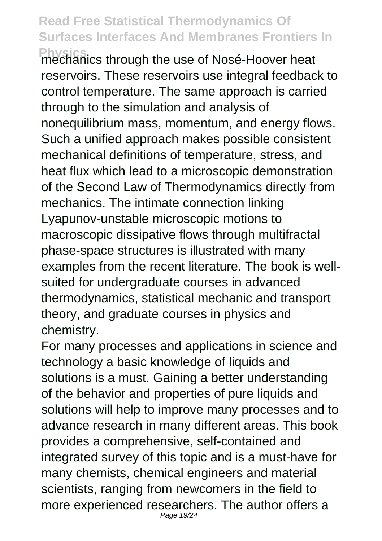**Physics** mechanics through the use of Nosé-Hoover heat reservoirs. These reservoirs use integral feedback to control temperature. The same approach is carried through to the simulation and analysis of nonequilibrium mass, momentum, and energy flows. Such a unified approach makes possible consistent mechanical definitions of temperature, stress, and heat flux which lead to a microscopic demonstration of the Second Law of Thermodynamics directly from mechanics. The intimate connection linking Lyapunov-unstable microscopic motions to macroscopic dissipative flows through multifractal phase-space structures is illustrated with many examples from the recent literature. The book is wellsuited for undergraduate courses in advanced thermodynamics, statistical mechanic and transport theory, and graduate courses in physics and chemistry.

For many processes and applications in science and technology a basic knowledge of liquids and solutions is a must. Gaining a better understanding of the behavior and properties of pure liquids and solutions will help to improve many processes and to advance research in many different areas. This book provides a comprehensive, self-contained and integrated survey of this topic and is a must-have for many chemists, chemical engineers and material scientists, ranging from newcomers in the field to more experienced researchers. The author offers a Page 19/24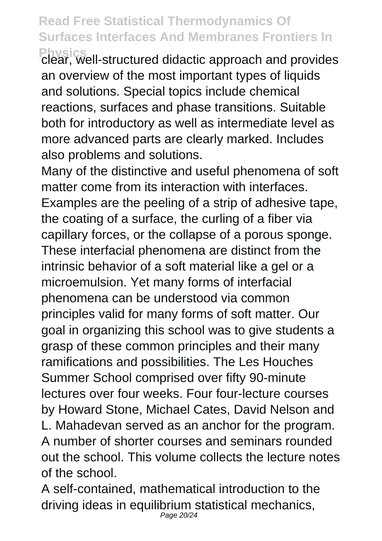**Physics**<br>clear, well-structured didactic approach and provides an overview of the most important types of liquids and solutions. Special topics include chemical reactions, surfaces and phase transitions. Suitable both for introductory as well as intermediate level as more advanced parts are clearly marked. Includes also problems and solutions.

Many of the distinctive and useful phenomena of soft matter come from its interaction with interfaces Examples are the peeling of a strip of adhesive tape, the coating of a surface, the curling of a fiber via capillary forces, or the collapse of a porous sponge. These interfacial phenomena are distinct from the intrinsic behavior of a soft material like a gel or a microemulsion. Yet many forms of interfacial phenomena can be understood via common principles valid for many forms of soft matter. Our goal in organizing this school was to give students a grasp of these common principles and their many ramifications and possibilities. The Les Houches Summer School comprised over fifty 90-minute lectures over four weeks. Four four-lecture courses by Howard Stone, Michael Cates, David Nelson and L. Mahadevan served as an anchor for the program. A number of shorter courses and seminars rounded out the school. This volume collects the lecture notes of the school.

A self-contained, mathematical introduction to the driving ideas in equilibrium statistical mechanics, Page 20/24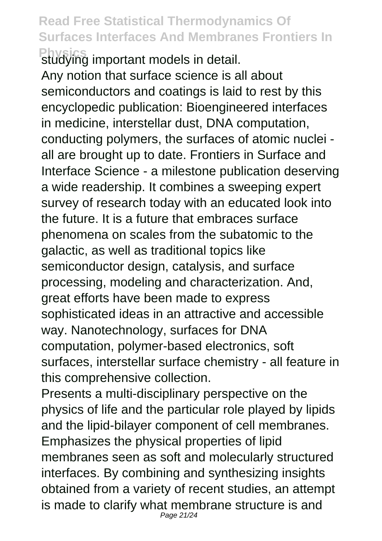**Physics** studying important models in detail. Any notion that surface science is all about semiconductors and coatings is laid to rest by this encyclopedic publication: Bioengineered interfaces in medicine, interstellar dust, DNA computation, conducting polymers, the surfaces of atomic nuclei all are brought up to date. Frontiers in Surface and Interface Science - a milestone publication deserving a wide readership. It combines a sweeping expert survey of research today with an educated look into the future. It is a future that embraces surface phenomena on scales from the subatomic to the galactic, as well as traditional topics like semiconductor design, catalysis, and surface processing, modeling and characterization. And, great efforts have been made to express sophisticated ideas in an attractive and accessible way. Nanotechnology, surfaces for DNA computation, polymer-based electronics, soft surfaces, interstellar surface chemistry - all feature in this comprehensive collection.

Presents a multi-disciplinary perspective on the physics of life and the particular role played by lipids and the lipid-bilayer component of cell membranes. Emphasizes the physical properties of lipid membranes seen as soft and molecularly structured interfaces. By combining and synthesizing insights obtained from a variety of recent studies, an attempt is made to clarify what membrane structure is and Page 21/24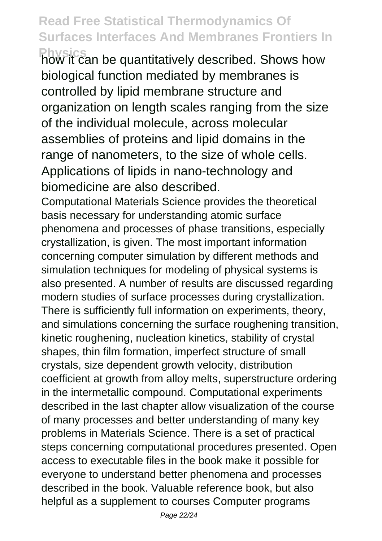**Physics** how it can be quantitatively described. Shows how biological function mediated by membranes is controlled by lipid membrane structure and organization on length scales ranging from the size of the individual molecule, across molecular assemblies of proteins and lipid domains in the range of nanometers, to the size of whole cells. Applications of lipids in nano-technology and biomedicine are also described.

Computational Materials Science provides the theoretical basis necessary for understanding atomic surface phenomena and processes of phase transitions, especially crystallization, is given. The most important information concerning computer simulation by different methods and simulation techniques for modeling of physical systems is also presented. A number of results are discussed regarding modern studies of surface processes during crystallization. There is sufficiently full information on experiments, theory, and simulations concerning the surface roughening transition, kinetic roughening, nucleation kinetics, stability of crystal shapes, thin film formation, imperfect structure of small crystals, size dependent growth velocity, distribution coefficient at growth from alloy melts, superstructure ordering in the intermetallic compound. Computational experiments described in the last chapter allow visualization of the course of many processes and better understanding of many key problems in Materials Science. There is a set of practical steps concerning computational procedures presented. Open access to executable files in the book make it possible for everyone to understand better phenomena and processes described in the book. Valuable reference book, but also helpful as a supplement to courses Computer programs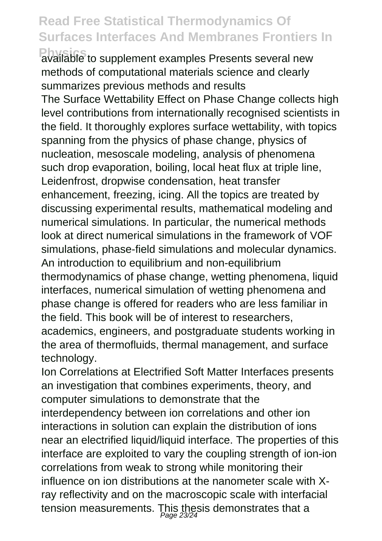**Physics** available to supplement examples Presents several new methods of computational materials science and clearly summarizes previous methods and results

The Surface Wettability Effect on Phase Change collects high level contributions from internationally recognised scientists in the field. It thoroughly explores surface wettability, with topics spanning from the physics of phase change, physics of nucleation, mesoscale modeling, analysis of phenomena such drop evaporation, boiling, local heat flux at triple line, Leidenfrost, dropwise condensation, heat transfer enhancement, freezing, icing. All the topics are treated by discussing experimental results, mathematical modeling and numerical simulations. In particular, the numerical methods look at direct numerical simulations in the framework of VOF simulations, phase-field simulations and molecular dynamics. An introduction to equilibrium and non-equilibrium thermodynamics of phase change, wetting phenomena, liquid interfaces, numerical simulation of wetting phenomena and phase change is offered for readers who are less familiar in the field. This book will be of interest to researchers, academics, engineers, and postgraduate students working in the area of thermofluids, thermal management, and surface technology.

Ion Correlations at Electrified Soft Matter Interfaces presents an investigation that combines experiments, theory, and computer simulations to demonstrate that the interdependency between ion correlations and other ion interactions in solution can explain the distribution of ions near an electrified liquid/liquid interface. The properties of this interface are exploited to vary the coupling strength of ion-ion correlations from weak to strong while monitoring their influence on ion distributions at the nanometer scale with Xray reflectivity and on the macroscopic scale with interfacial tension measurements. This thesis demonstrates that a